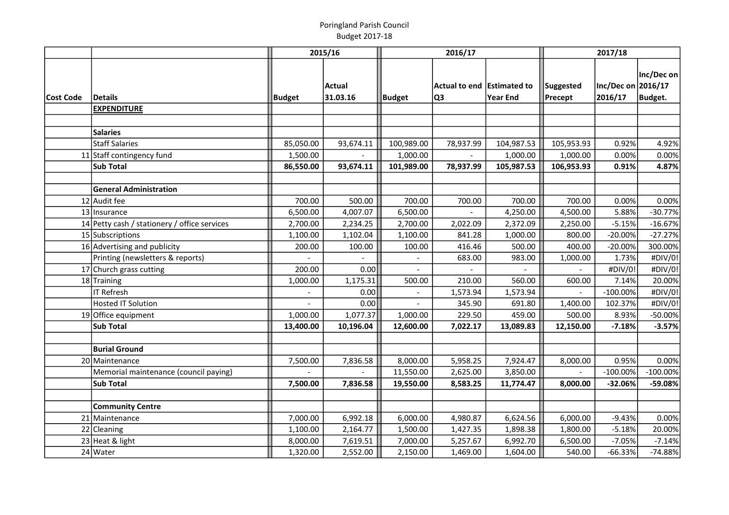|           |                                              |                          | 2015/16              | 2016/17              |                                    | 2017/18              |                      |                               |                       |
|-----------|----------------------------------------------|--------------------------|----------------------|----------------------|------------------------------------|----------------------|----------------------|-------------------------------|-----------------------|
| Cost Code | <b>Details</b>                               | Budget                   | Actual<br>31.03.16   | <b>Budget</b>        | Actual to end   Estimated to<br>Q3 | Year End             | Suggested<br>Precept | Inc/Dec on 2016/17<br>2016/17 | Inc/Dec on<br>Budget. |
|           | <b>EXPENDITURE</b>                           |                          |                      |                      |                                    |                      |                      |                               |                       |
|           |                                              |                          |                      |                      |                                    |                      |                      |                               |                       |
|           | <b>Salaries</b>                              |                          |                      |                      |                                    |                      |                      |                               |                       |
|           | <b>Staff Salaries</b>                        | 85,050.00                | 93,674.11            | 100,989.00           | 78,937.99                          | 104,987.53           | 105,953.93           | 0.92%                         | 4.92%                 |
|           | 11 Staff contingency fund                    | 1,500.00                 |                      | 1,000.00             |                                    | 1,000.00             | 1,000.00             | 0.00%                         | 0.00%                 |
|           | <b>Sub Total</b>                             | 86,550.00                | 93,674.11            | 101,989.00           | 78,937.99                          | 105,987.53           | 106,953.93           | 0.91%                         | 4.87%                 |
|           | <b>General Administration</b>                |                          |                      |                      |                                    |                      |                      |                               |                       |
|           | 12 Audit fee                                 | 700.00                   | 500.00               | 700.00               | 700.00                             | 700.00               | 700.00               | 0.00%                         | 0.00%                 |
|           | 13 Insurance                                 | 6,500.00                 | 4,007.07             | 6,500.00             |                                    | 4,250.00             | 4,500.00             | 5.88%                         | $-30.77%$             |
|           | 14 Petty cash / stationery / office services | 2,700.00                 | 2,234.25             | 2,700.00             | 2,022.09                           | 2,372.09             | 2,250.00             | $-5.15%$                      | $-16.67%$             |
|           | 15 Subscriptions                             | 1,100.00                 | 1,102.04             | 1,100.00             | 841.28                             | 1,000.00             | 800.00               | $-20.00%$                     | $-27.27%$             |
|           | 16 Advertising and publicity                 | 200.00                   | 100.00               | 100.00               | 416.46                             | 500.00               | 400.00               | $-20.00%$                     | 300.00%               |
|           | Printing (newsletters & reports)             |                          |                      |                      | 683.00                             | 983.00               | 1,000.00             | 1.73%                         | #DIV/0!               |
|           | 17 Church grass cutting                      | 200.00                   | 0.00                 |                      |                                    |                      |                      | #DIV/0!                       | #DIV/0!               |
|           | 18 Training                                  | 1,000.00                 | 1,175.31             | 500.00               | 210.00                             | 560.00               | 600.00               | 7.14%                         | 20.00%                |
|           | <b>IT Refresh</b>                            | $\overline{\phantom{a}}$ | 0.00                 |                      | 1,573.94                           | 1,573.94             |                      | $-100.00\%$                   | #DIV/0!               |
|           | <b>Hosted IT Solution</b>                    |                          | 0.00                 | $\overline{a}$       | 345.90                             | 691.80               | 1,400.00             | 102.37%                       | #DIV/0!               |
|           | 19 Office equipment                          | 1,000.00                 | 1,077.37             | 1,000.00             | 229.50                             | 459.00               | 500.00               | 8.93%                         | $-50.00%$             |
|           | <b>Sub Total</b>                             | 13,400.00                | 10,196.04            | 12,600.00            | 7,022.17                           | 13,089.83            | 12,150.00            | $-7.18%$                      | $-3.57%$              |
|           |                                              |                          |                      |                      |                                    |                      |                      |                               |                       |
|           | <b>Burial Ground</b>                         |                          |                      |                      |                                    |                      |                      |                               |                       |
|           | 20 Maintenance                               | 7,500.00                 | 7,836.58             | 8,000.00             | 5,958.25                           | 7,924.47             | 8,000.00             | 0.95%                         | 0.00%                 |
|           | Memorial maintenance (council paying)        |                          |                      | 11,550.00            | 2,625.00                           | 3,850.00             |                      | $-100.00%$                    | $-100.00\%$           |
|           | <b>Sub Total</b>                             | 7,500.00                 | 7,836.58             | 19,550.00            | 8,583.25                           | 11,774.47            | 8,000.00             | $-32.06%$                     | -59.08%               |
|           |                                              |                          |                      |                      |                                    |                      |                      |                               |                       |
|           | <b>Community Centre</b><br>21 Maintenance    | 7,000.00                 |                      |                      |                                    |                      |                      | $-9.43%$                      | 0.00%                 |
|           | 22 Cleaning                                  | 1,100.00                 | 6,992.18<br>2,164.77 | 6,000.00<br>1,500.00 | 4,980.87<br>1,427.35               | 6,624.56<br>1,898.38 | 6,000.00<br>1,800.00 | $-5.18%$                      | 20.00%                |
|           | 23 Heat & light                              | 8,000.00                 | 7,619.51             | 7,000.00             | 5,257.67                           | 6,992.70             | 6,500.00             | $-7.05%$                      | $-7.14%$              |
|           | 24 Water                                     | 1,320.00                 | 2,552.00             | 2,150.00             | 1,469.00                           | 1,604.00             | 540.00               | $-66.33%$                     | $-74.88%$             |
|           |                                              |                          |                      |                      |                                    |                      |                      |                               |                       |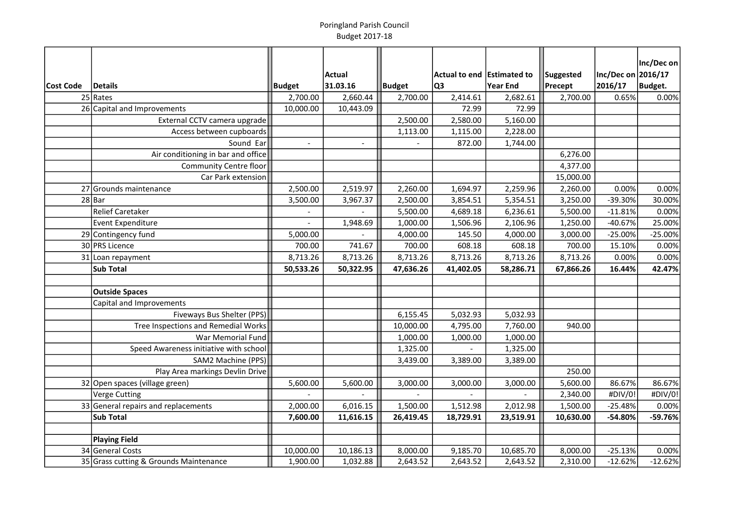|           |                                        |                | Actual         |               | Actual to end Estimated to |                 | Suggested | Inc/Dec on 2016/17 | Inc/Dec on |
|-----------|----------------------------------------|----------------|----------------|---------------|----------------------------|-----------------|-----------|--------------------|------------|
| Cost Code | Details                                | <b>Budget</b>  | 31.03.16       | <b>Budget</b> | Q <sub>3</sub>             | <b>Year End</b> | Precept   | 2016/17            | Budget.    |
|           | $25$ Rates                             | 2,700.00       | 2,660.44       | 2,700.00      | 2,414.61                   | 2,682.61        | 2,700.00  | 0.65%              | 0.00%      |
|           | 26 Capital and Improvements            | 10,000.00      | 10,443.09      |               | 72.99                      | 72.99           |           |                    |            |
|           | External CCTV camera upgrade           |                |                | 2,500.00      | 2,580.00                   | 5,160.00        |           |                    |            |
|           | Access between cupboards               |                |                | 1,113.00      | 1,115.00                   | 2,228.00        |           |                    |            |
|           | Sound Ear                              | $\overline{a}$ | $\overline{a}$ |               | 872.00                     | 1,744.00        |           |                    |            |
|           | Air conditioning in bar and office     |                |                |               |                            |                 | 6,276.00  |                    |            |
|           | <b>Community Centre floor</b>          |                |                |               |                            |                 | 4,377.00  |                    |            |
|           | Car Park extension                     |                |                |               |                            |                 | 15,000.00 |                    |            |
|           | 27 Grounds maintenance                 | 2,500.00       | 2,519.97       | 2,260.00      | 1,694.97                   | 2,259.96        | 2,260.00  | 0.00%              | 0.00%      |
|           | $28$ Bar                               | 3,500.00       | 3,967.37       | 2,500.00      | 3,854.51                   | 5,354.51        | 3,250.00  | -39.30%            | 30.00%     |
|           | Relief Caretaker                       |                |                | 5,500.00      | 4,689.18                   | 6,236.61        | 5,500.00  | $-11.81%$          | 0.00%      |
|           | Event Expenditure                      |                | 1,948.69       | 1,000.00      | 1,506.96                   | 2,106.96        | 1,250.00  | $-40.67%$          | 25.00%     |
|           | 29 Contingency fund                    | 5,000.00       |                | 4,000.00      | 145.50                     | 4,000.00        | 3,000.00  | $-25.00%$          | $-25.00%$  |
|           | 30 PRS Licence                         | 700.00         | 741.67         | 700.00        | 608.18                     | 608.18          | 700.00    | 15.10%             | 0.00%      |
|           | 31 Loan repayment                      | 8,713.26       | 8,713.26       | 8,713.26      | 8,713.26                   | 8,713.26        | 8,713.26  | 0.00%              | 0.00%      |
|           | <b>Sub Total</b>                       | 50,533.26      | 50,322.95      | 47,636.26     | 41,402.05                  | 58,286.71       | 67,866.26 | 16.44%             | 42.47%     |
|           |                                        |                |                |               |                            |                 |           |                    |            |
|           | <b>Outside Spaces</b>                  |                |                |               |                            |                 |           |                    |            |
|           | Capital and Improvements               |                |                |               |                            |                 |           |                    |            |
|           | Fiveways Bus Shelter (PPS)             |                |                | 6,155.45      | 5,032.93                   | 5,032.93        |           |                    |            |
|           | Tree Inspections and Remedial Works    |                |                | 10,000.00     | 4,795.00                   | 7,760.00        | 940.00    |                    |            |
|           | War Memorial Fund                      |                |                | 1,000.00      | 1,000.00                   | 1,000.00        |           |                    |            |
|           | Speed Awareness initiative with school |                |                | 1,325.00      |                            | 1,325.00        |           |                    |            |
|           | SAM2 Machine (PPS)                     |                |                | 3,439.00      | 3,389.00                   | 3,389.00        |           |                    |            |
|           | Play Area markings Devlin Drive        |                |                |               |                            |                 | 250.00    |                    |            |
|           | 32 Open spaces (village green)         | 5,600.00       | 5,600.00       | 3,000.00      | 3,000.00                   | 3,000.00        | 5,600.00  | 86.67%             | 86.67%     |
|           | Verge Cutting                          |                |                |               |                            |                 | 2,340.00  | #DIV/0!            | #DIV/0!    |
|           | 33 General repairs and replacements    | 2,000.00       | 6,016.15       | 1,500.00      | 1,512.98                   | 2,012.98        | 1,500.00  | $-25.48%$          | 0.00%      |
|           | Sub Total                              | 7,600.00       | 11,616.15      | 26,419.45     | 18,729.91                  | 23,519.91       | 10,630.00 | -54.80%            | -59.76%    |
|           |                                        |                |                |               |                            |                 |           |                    |            |
|           | <b>Playing Field</b>                   |                |                |               |                            |                 |           |                    |            |
|           | 34 General Costs                       | 10,000.00      | 10,186.13      | 8,000.00      | 9,185.70                   | 10,685.70       | 8,000.00  | $-25.13%$          | 0.00%      |
|           | 35 Grass cutting & Grounds Maintenance | 1,900.00       | 1,032.88       | 2,643.52      | 2,643.52                   | 2,643.52        | 2,310.00  | $-12.62%$          | $-12.62%$  |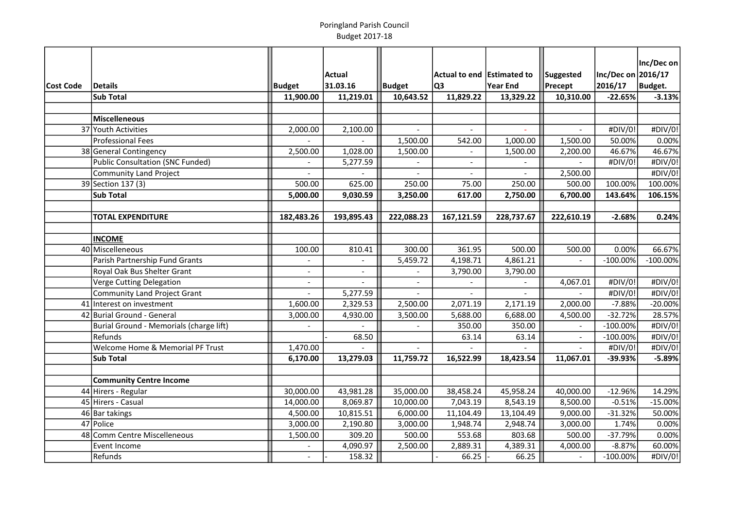|           |                                             |                |                          |               |                            |                |            |                    | Inc/Dec on  |
|-----------|---------------------------------------------|----------------|--------------------------|---------------|----------------------------|----------------|------------|--------------------|-------------|
|           |                                             |                | Actual                   |               | Actual to end Estimated to |                | Suggested  | Inc/Dec on 2016/17 |             |
| Cost Code | Details                                     | Budget         | 31.03.16                 | <b>Budget</b> | lQ3                        | Year End       | Precept    | 2016/17            | Budget.     |
|           | <b>Sub Total</b>                            | 11,900.00      | 11,219.01                | 10,643.52     | 11,829.22                  | 13,329.22      | 10,310.00  | $-22.65%$          | $-3.13%$    |
|           |                                             |                |                          |               |                            |                |            |                    |             |
|           | Miscelleneous                               |                |                          |               |                            |                |            |                    |             |
|           | 37 Youth Activities                         | 2,000.00       | 2,100.00                 |               | $\overline{a}$             |                |            | #DIV/0!            | #DIV/0!     |
|           | Professional Fees                           |                |                          | 1,500.00      | 542.00                     | 1,000.00       | 1,500.00   | 50.00%             | 0.00%       |
|           | 38 General Contingency                      | 2,500.00       | 1,028.00                 | 1,500.00      | $\equiv$                   | 1,500.00       | 2,200.00   | 46.67%             | 46.67%      |
|           | Public Consultation (SNC Funded)            |                | 5,277.59                 |               | $\sim$                     |                |            | #DIV/0!            | #DIV/0!     |
|           | Community Land Project                      | $\overline{a}$ |                          | $\sim$        | $\sim$                     | $\overline{a}$ | 2,500.00   |                    | #DIV/0!     |
|           | 39 Section 137 (3)                          | 500.00         | 625.00                   | 250.00        | 75.00                      | 250.00         | 500.00     | 100.00%            | 100.00%     |
|           | <b>Sub Total</b>                            | 5,000.00       | 9,030.59                 | 3,250.00      | 617.00                     | 2,750.00       | 6,700.00   | 143.64%            | 106.15%     |
|           |                                             |                |                          |               |                            |                |            |                    |             |
|           | <b>TOTAL EXPENDITURE</b>                    | 182,483.26     | 193,895.43               | 222,088.23    | 167,121.59                 | 228,737.67     | 222,610.19 | $-2.68%$           | 0.24%       |
|           |                                             |                |                          |               |                            |                |            |                    |             |
|           | <b>INCOME</b>                               |                |                          |               |                            |                |            |                    |             |
|           | 40 Miscelleneous                            | 100.00         | 810.41                   | 300.00        | 361.95                     | 500.00         | 500.00     | 0.00%              | 66.67%      |
|           | Parish Partnership Fund Grants              |                |                          | 5,459.72      | 4,198.71                   | 4,861.21       |            | $-100.00\%$        | $-100.00\%$ |
|           | Royal Oak Bus Shelter Grant                 | $\overline{a}$ | $\overline{\phantom{a}}$ | $\sim$        | 3,790.00                   | 3,790.00       |            |                    |             |
|           | Verge Cutting Delegation                    | $\overline{a}$ |                          |               | $\overline{\phantom{a}}$   |                | 4,067.01   | #DIV/0!            | #DIV/0!     |
|           | Community Land Project Grant                | $\sim$         | 5,277.59                 |               |                            |                |            | #DIV/0!            | #DIV/0!     |
|           | 41 Interest on investment                   | 1,600.00       | 2,329.53                 | 2,500.00      | 2,071.19                   | 2,171.19       | 2,000.00   | $-7.88%$           | $-20.00%$   |
|           | 42 Burial Ground - General                  | 3,000.00       | 4,930.00                 | 3,500.00      | 5,688.00                   | 6,688.00       | 4,500.00   | $-32.72%$          | 28.57%      |
|           | Burial Ground - Memorials (charge lift)     |                |                          |               | 350.00                     | 350.00         |            | $-100.00\%$        | #DIV/0!     |
|           | Refunds                                     |                | 68.50                    |               | 63.14                      | 63.14          |            | $-100.00\%$        | #DIV/0!     |
|           | <b>Welcome Home &amp; Memorial PF Trust</b> | 1,470.00       |                          |               |                            |                |            | #DIV/0!            | #DIV/0!     |
|           | <b>Sub Total</b>                            | 6,170.00       | 13,279.03                | 11,759.72     | 16,522.99                  | 18,423.54      | 11,067.01  | $-39.93%$          | $-5.89%$    |
|           |                                             |                |                          |               |                            |                |            |                    |             |
|           | <b>Community Centre Income</b>              |                |                          |               |                            |                |            |                    |             |
|           | 44 Hirers - Regular                         | 30,000.00      | 43,981.28                | 35,000.00     | 38,458.24                  | 45,958.24      | 40,000.00  | $-12.96%$          | 14.29%      |
|           | 45 Hirers - Casual                          | 14,000.00      | 8,069.87                 | 10,000.00     | 7,043.19                   | 8,543.19       | 8,500.00   | $-0.51%$           | $-15.00%$   |
|           | 46 Bar takings                              | 4,500.00       | 10,815.51                | 6,000.00      | 11,104.49                  | 13,104.49      | 9,000.00   | $-31.32%$          | 50.00%      |
|           | 47 Police                                   | 3,000.00       | 2,190.80                 | 3,000.00      | 1,948.74                   | 2,948.74       | 3,000.00   | 1.74%              | 0.00%       |
|           | 48 Comm Centre Miscelleneous                | 1,500.00       | 309.20                   | 500.00        | 553.68                     | 803.68         | 500.00     | $-37.79%$          | 0.00%       |
|           | Event Income                                |                | 4,090.97                 | 2,500.00      | 2,889.31                   | 4,389.31       | 4,000.00   | $-8.87%$           | 60.00%      |
|           | Refunds                                     | $\blacksquare$ | 158.32                   |               | 66.25                      | 66.25          |            | $-100.00\%$        | #DIV/0!     |